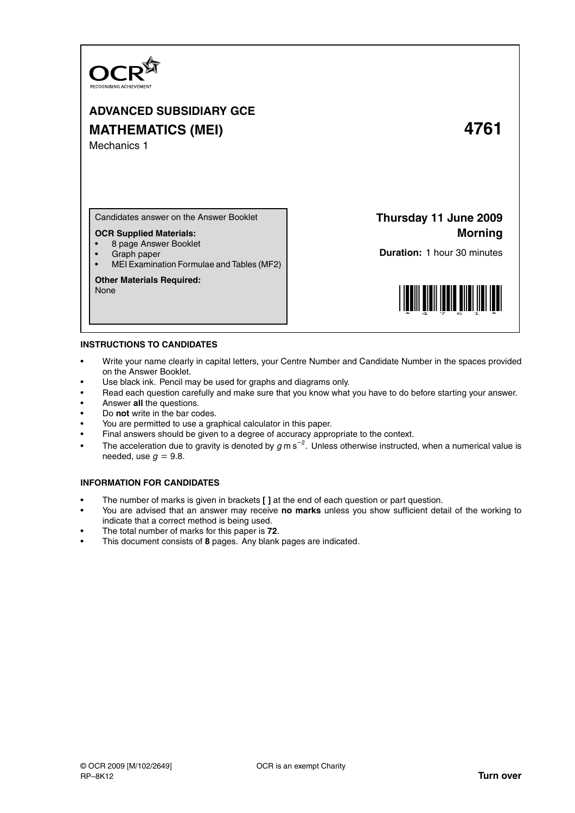

# **ADVANCED SUBSIDIARY GCE MATHEMATICS (MEI) 4761**

Mechanics 1

Candidates answer on the Answer Booklet

#### **OCR Supplied Materials:**

- 8 page Answer Booklet
- Graph paper
- MEI Examination Formulae and Tables (MF2)

#### **Other Materials Required:**

None

## **Thursday 11 June 2009 Morning**

**Duration:** 1 hour 30 minutes



#### **INSTRUCTIONS TO CANDIDATES**

- Write your name clearly in capital letters, your Centre Number and Candidate Number in the spaces provided on the Answer Booklet.
- Use black ink. Pencil may be used for graphs and diagrams only.
- Read each question carefully and make sure that you know what you have to do before starting your answer.
- Answer **all** the questions.
- Do **not** write in the bar codes.
- You are permitted to use a graphical calculator in this paper.
- Final answers should be given to a degree of accuracy appropriate to the context.
- The acceleration due to gravity is denoted by  $g$  m s<sup>-2</sup>. Unless otherwise instructed, when a numerical value is needed, use  $q = 9.8$ .

#### **INFORMATION FOR CANDIDATES**

- The number of marks is given in brackets **[ ]** at the end of each question or part question.
- You are advised that an answer may receive **no marks** unless you show sufficient detail of the working to indicate that a correct method is being used.
- The total number of marks for this paper is **72**.
- This document consists of **8** pages. Any blank pages are indicated.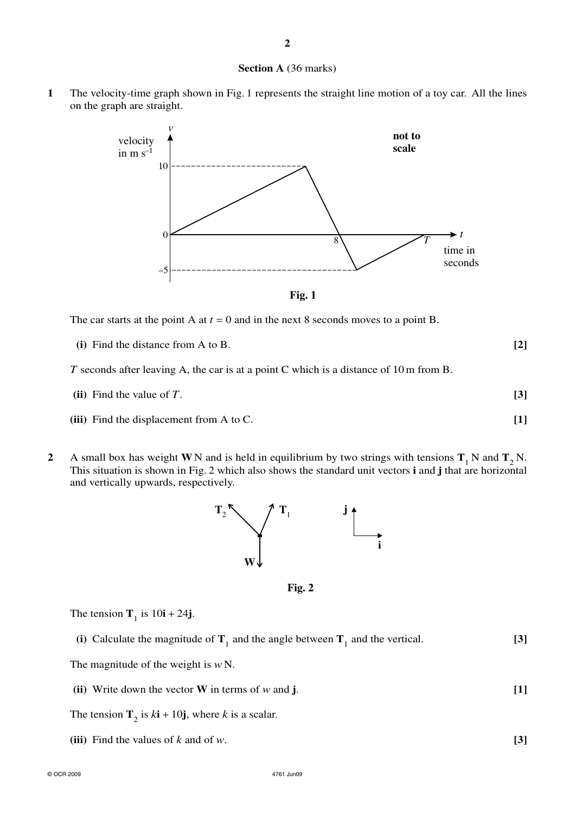

**2**

**1** The velocity-time graph shown in Fig. 1 represents the straight line motion of a toy car. All the lines on the graph are straight.



The car starts at the point A at  $t = 0$  and in the next 8 seconds moves to a point B.

| (i) Find the distance from A to B.                                                     | [2] |
|----------------------------------------------------------------------------------------|-----|
| T seconds after leaving A, the car is at a point C which is a distance of 10 m from B. |     |
| (ii) Find the value of $T$ .                                                           | 131 |
| (iii) Find the displacement from A to C.                                               |     |

**2** A small box has weight **W**N and is held in equilibrium by two strings with tensions  $\mathbf{T}_1$  N and  $\mathbf{T}_2$  N. This situation is shown in Fig. 2 which also shows the standard unit vectors **i** and **j** that are horizontal and vertically upwards, respectively.



**Fig. 2**

The tension  $\mathbf{T}_1$  is 10**i** + 24**j**.

(i) Calculate the magnitude of  $\mathbf{T}_1$  and the angle between  $\mathbf{T}_1$  and the vertical. [3]

The magnitude of the weight is *w* N.

**(ii)** Write down the vector **W** in terms of *w* and **j**. **[1]**

The tension  $\mathbf{T}_2$  is  $k\mathbf{i} + 10\mathbf{j}$ , where *k* is a scalar.

**(iii)** Find the values of *k* and of *w*.  $[3]$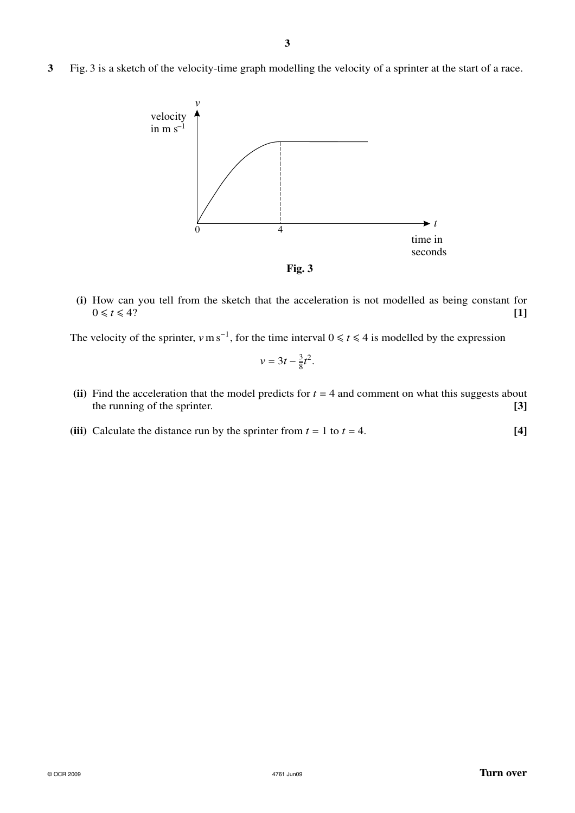**3** Fig. 3 is a sketch of the velocity-time graph modelling the velocity of a sprinter at the start of a race.



(i) How can you tell from the sketch that the acceleration is not modelled as being constant for  $0 \le t \le 4$ ?  $0 \le t \le 4$ ? **[1]** 

The velocity of the sprinter,  $v \text{ m s}^{-1}$ , for the time interval  $0 \le t \le 4$  is modelled by the expression

$$
v=3t-\frac{3}{8}t^2.
$$

- (ii) Find the acceleration that the model predicts for  $t = 4$  and comment on what this suggests about the running of the sprinter. **[3]**
- (iii) Calculate the distance run by the sprinter from  $t = 1$  to  $t = 4$ . [4]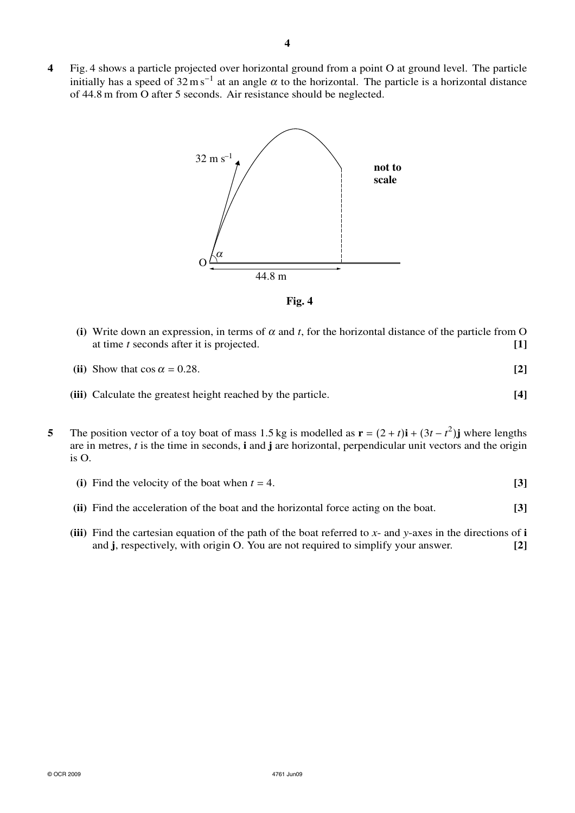**4** Fig. 4 shows a particle projected over horizontal ground from a point O at ground level. The particle initially has a speed of  $32 \text{ m s}^{-1}$  at an angle  $\alpha$  to the horizontal. The particle is a horizontal distance of 44.8 m from O after 5 seconds. Air resistance should be neglected.



**Fig. 4**

(i) Write down an expression, in terms of  $\alpha$  and  $t$ , for the horizontal distance of the particle from O at time *t* seconds after it is projected. **[1]**

| (ii) Show that $\cos \alpha = 0.28$ . |
|---------------------------------------|
|                                       |

- **(iii)** Calculate the greatest height reached by the particle. **[4]**
- **5** The position vector of a toy boat of mass 1.5 kg is modelled as  $\mathbf{r} = (2 + t)\mathbf{i} + (3t t^2)\mathbf{j}$  where lengths are in metres, *t* is the time in seconds, **i** and **j** are horizontal, perpendicular unit vectors and the origin is O.
	- (i) Find the velocity of the boat when  $t = 4$ . **[3]**
	- **(ii)** Find the acceleration of the boat and the horizontal force acting on the boat. **[3]**
	- **(iii)** Find the cartesian equation of the path of the boat referred to *x* and *y*-axes in the directions of **i** and **j**, respectively, with origin O. You are not required to simplify your answer. **[2]**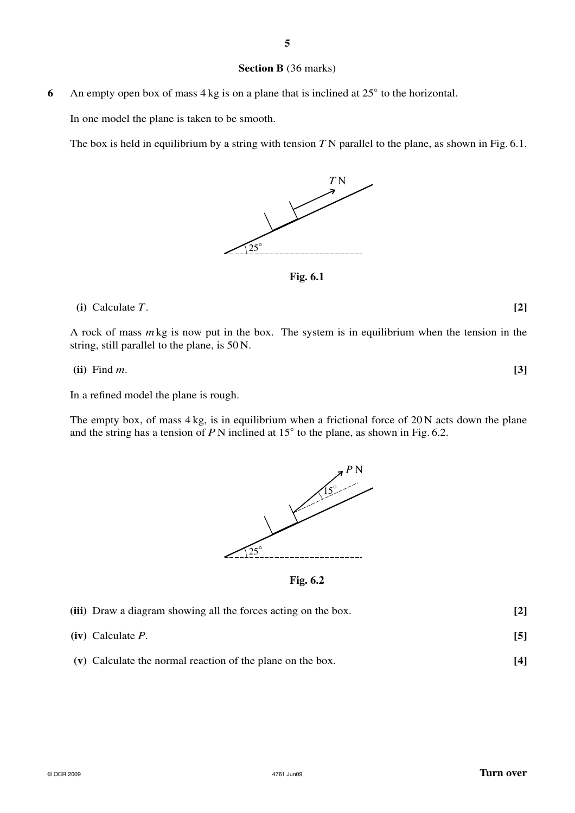### **Section B** (36 marks)

6 An empty open box of mass  $4 \text{ kg}$  is on a plane that is inclined at  $25^\circ$  to the horizontal.

In one model the plane is taken to be smooth.

The box is held in equilibrium by a string with tension *T* N parallel to the plane, as shown in Fig. 6.1.

**Fig. 6.1**

**(i)** Calculate *T*. **[2]**

A rock of mass *m* kg is now put in the box. The system is in equilibrium when the tension in the string, still parallel to the plane, is 50 N.

**(ii)** Find *m*. **[3]**

In a refined model the plane is rough.

The empty box, of mass  $4 \text{ kg}$ , is in equilibrium when a frictional force of  $20 \text{ N}$  acts down the plane and the string has a tension of  $P N$  inclined at 15 $\degree$  to the plane, as shown in Fig. 6.2.



15°

*P* N

 $\frac{1}{2}$ 

**(iii)** Draw a diagram showing all the forces acting on the box. **[2]**

25°

- **(iv)** Calculate *P*. **[5]**
- **(v)** Calculate the normal reaction of the plane on the box. **[4]**

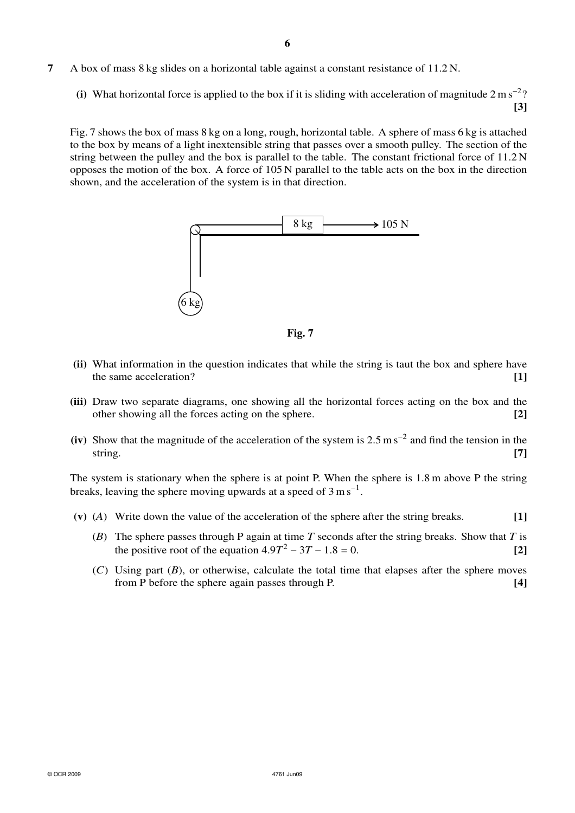**7** A box of mass 8 kg slides on a horizontal table against a constant resistance of 11.2 N.

(i) What horizontal force is applied to the box if it is sliding with acceleration of magnitude  $2 \text{ m s}^{-2}$ ? **[3]**

Fig. 7 shows the box of mass 8 kg on a long, rough, horizontal table. A sphere of mass 6 kg is attached to the box by means of a light inextensible string that passes over a smooth pulley. The section of the string between the pulley and the box is parallel to the table. The constant frictional force of 11.2 N opposes the motion of the box. A force of 105 N parallel to the table acts on the box in the direction shown, and the acceleration of the system is in that direction.



**Fig. 7**

- **(ii)** What information in the question indicates that while the string is taut the box and sphere have the same acceleration? **[1]**
- **(iii)** Draw two separate diagrams, one showing all the horizontal forces acting on the box and the other showing all the forces acting on the sphere. **[2]**
- **(iv)** Show that the magnitude of the acceleration of the system is 2.5 m s<sup>−</sup><sup>2</sup> and find the tension in the string. **[7]**

The system is stationary when the sphere is at point P. When the sphere is 1.8 m above P the string breaks, leaving the sphere moving upwards at a speed of  $3 \text{ m s}^{-1}$ .

- **(v)** (*A*) Write down the value of the acceleration of the sphere after the string breaks. **[1]**
	- (*B*) The sphere passes through P again at time *T* seconds after the string breaks. Show that *T* is the positive root of the equation  $4.9T^2 - 3T - 1.8 = 0$ . [2]
	- (*C*) Using part (*B*), or otherwise, calculate the total time that elapses after the sphere moves from P before the sphere again passes through P. **[4]**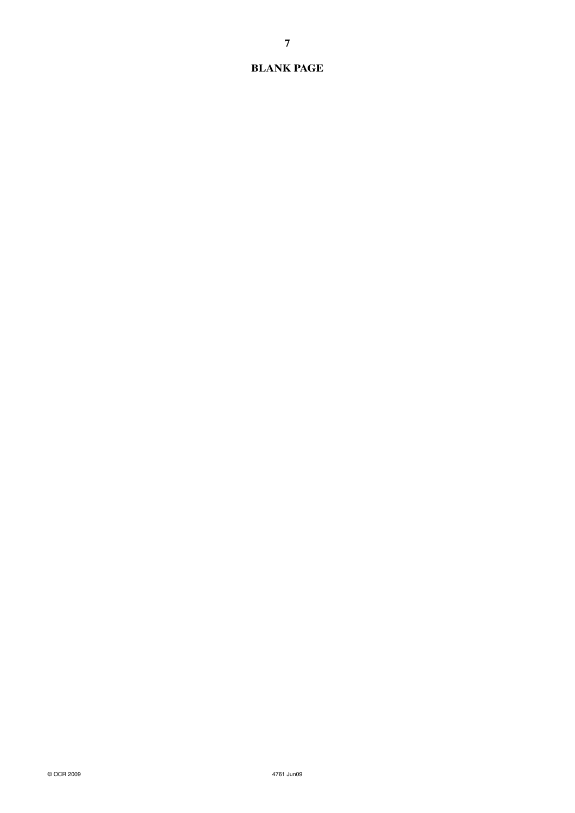## **BLANK PAGE**